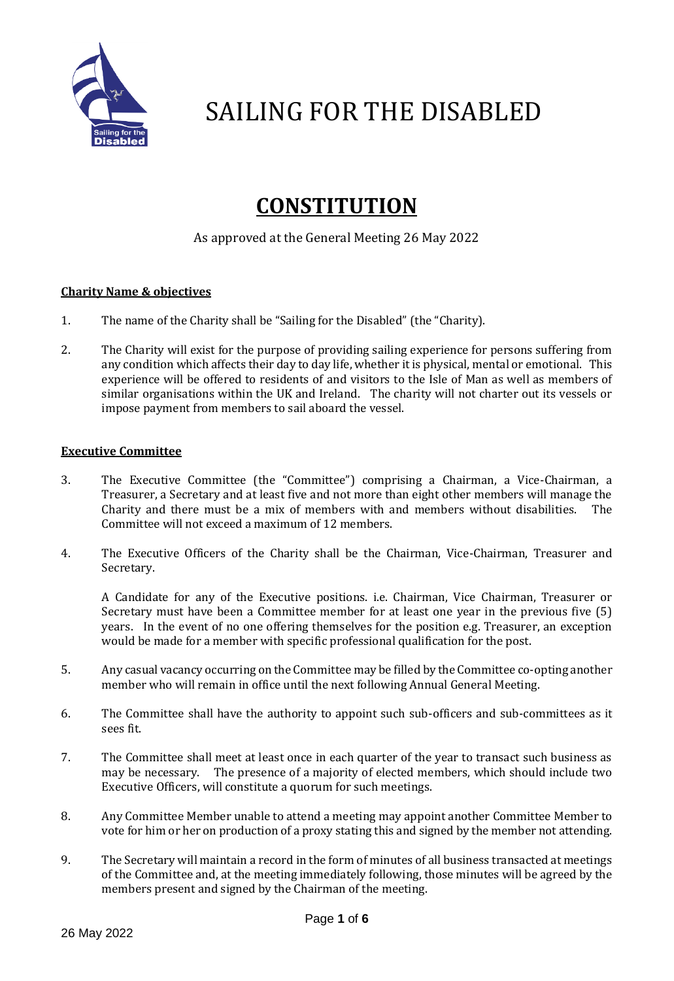

### **CONSTITUTION**

### As approved at the General Meeting 26 May 2022

### **Charity Name & objectives**

- 1. The name of the Charity shall be "Sailing for the Disabled" (the "Charity).
- 2. The Charity will exist for the purpose of providing sailing experience for persons suffering from any condition which affects their day to day life, whether it is physical, mental or emotional. This experience will be offered to residents of and visitors to the Isle of Man as well as members of similar organisations within the UK and Ireland. The charity will not charter out its vessels or impose payment from members to sail aboard the vessel.

#### **Executive Committee**

- 3. The Executive Committee (the "Committee") comprising a Chairman, a Vice-Chairman, a Treasurer, a Secretary and at least five and not more than eight other members will manage the Charity and there must be a mix of members with and members without disabilities. The Committee will not exceed a maximum of 12 members.
- 4. The Executive Officers of the Charity shall be the Chairman, Vice-Chairman, Treasurer and Secretary.

A Candidate for any of the Executive positions. i.e. Chairman, Vice Chairman, Treasurer or Secretary must have been a Committee member for at least one year in the previous five (5) years. In the event of no one offering themselves for the position e.g. Treasurer, an exception would be made for a member with specific professional qualification for the post.

- 5. Any casual vacancy occurring on the Committee may be filled by the Committee co-opting another member who will remain in office until the next following Annual General Meeting.
- 6. The Committee shall have the authority to appoint such sub-officers and sub-committees as it sees fit.
- 7. The Committee shall meet at least once in each quarter of the year to transact such business as may be necessary. The presence of a majority of elected members, which should include two Executive Officers, will constitute a quorum for such meetings.
- 8. Any Committee Member unable to attend a meeting may appoint another Committee Member to vote for him or her on production of a proxy stating this and signed by the member not attending.
- 9. The Secretary will maintain a record in the form of minutes of all business transacted at meetings of the Committee and, at the meeting immediately following, those minutes will be agreed by the members present and signed by the Chairman of the meeting.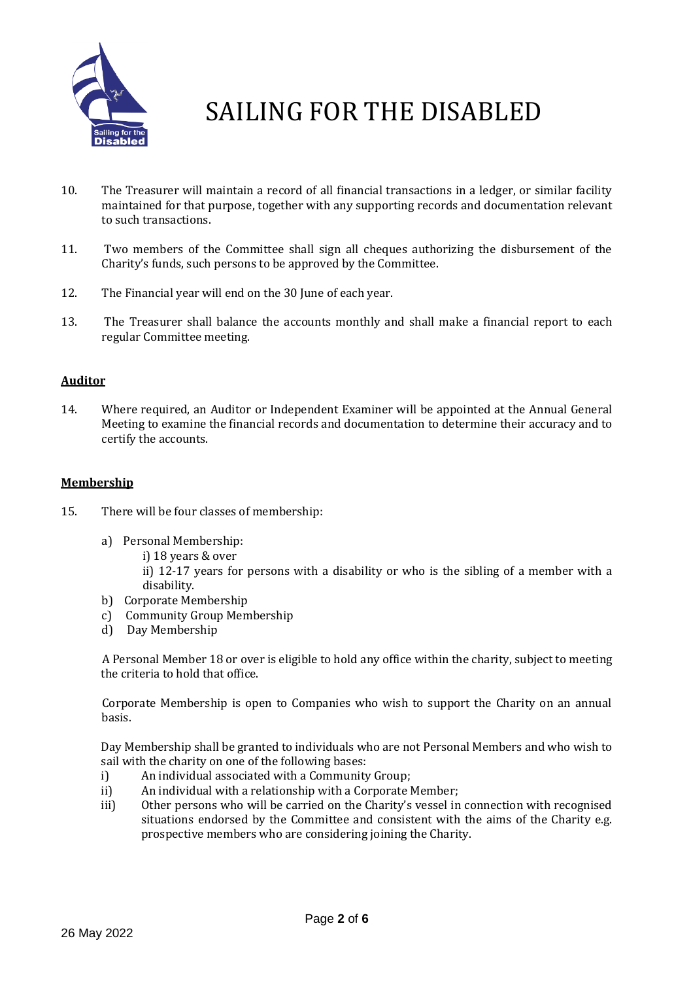

- 10. The Treasurer will maintain a record of all financial transactions in a ledger, or similar facility maintained for that purpose, together with any supporting records and documentation relevant to such transactions.
- 11. Two members of the Committee shall sign all cheques authorizing the disbursement of the Charity's funds, such persons to be approved by the Committee.
- 12. The Financial year will end on the 30 June of each year.
- 13. The Treasurer shall balance the accounts monthly and shall make a financial report to each regular Committee meeting.

### **Auditor**

14. Where required, an Auditor or Independent Examiner will be appointed at the Annual General Meeting to examine the financial records and documentation to determine their accuracy and to certify the accounts.

#### **Membership**

- 15. There will be four classes of membership:
	- a) Personal Membership:
		- i) 18 years & over

ii) 12-17 years for persons with a disability or who is the sibling of a member with a disability.

- b) Corporate Membership
- c) Community Group Membership
- d) Day Membership

 A Personal Member 18 or over is eligible to hold any office within the charity, subject to meeting the criteria to hold that office.

 Corporate Membership is open to Companies who wish to support the Charity on an annual basis.

Day Membership shall be granted to individuals who are not Personal Members and who wish to sail with the charity on one of the following bases:

- i) An individual associated with a Community Group;
- ii) An individual with a relationship with a Corporate Member;
- iii) Other persons who will be carried on the Charity's vessel in connection with recognised situations endorsed by the Committee and consistent with the aims of the Charity e.g. prospective members who are considering joining the Charity.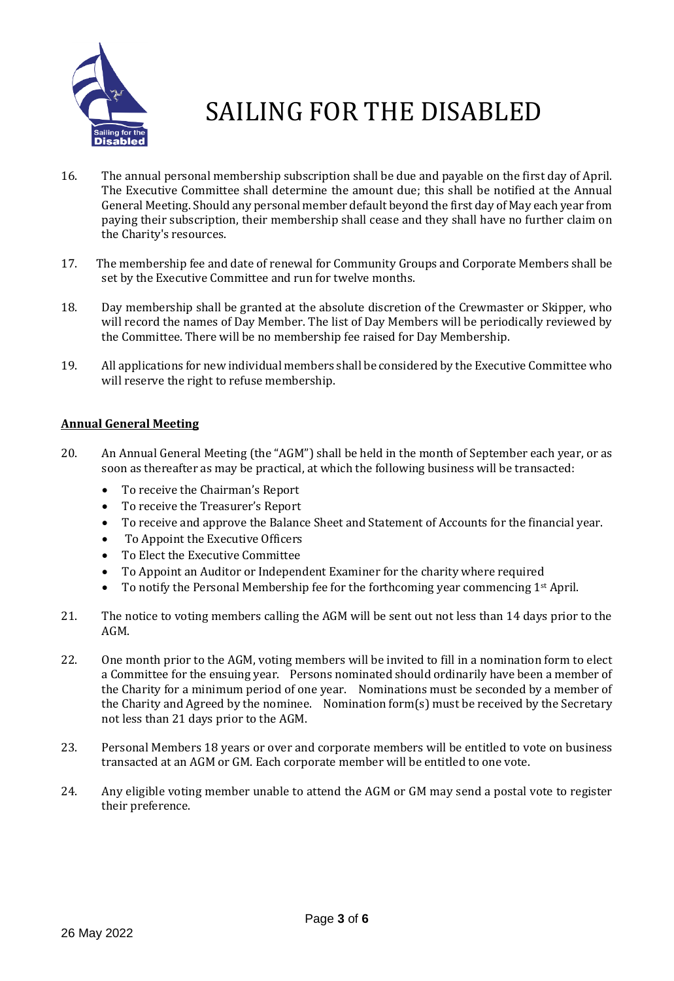

- 16. The annual personal membership subscription shall be due and payable on the first day of April. The Executive Committee shall determine the amount due; this shall be notified at the Annual General Meeting. Should any personal member default beyond the first day of May each year from paying their subscription, their membership shall cease and they shall have no further claim on the Charity's resources.
- 17. The membership fee and date of renewal for Community Groups and Corporate Members shall be set by the Executive Committee and run for twelve months.
- 18. Day membership shall be granted at the absolute discretion of the Crewmaster or Skipper, who will record the names of Day Member. The list of Day Members will be periodically reviewed by the Committee. There will be no membership fee raised for Day Membership.
- 19. All applications for new individual members shall be considered by the Executive Committee who will reserve the right to refuse membership.

### **Annual General Meeting**

- 20. An Annual General Meeting (the "AGM") shall be held in the month of September each year, or as soon as thereafter as may be practical, at which the following business will be transacted:
	- To receive the Chairman's Report
	- To receive the Treasurer's Report
	- To receive and approve the Balance Sheet and Statement of Accounts for the financial year.
	- To Appoint the Executive Officers
	- To Elect the Executive Committee
	- To Appoint an Auditor or Independent Examiner for the charity where required
	- To notify the Personal Membership fee for the forthcoming year commencing 1<sup>st</sup> April.
- 21. The notice to voting members calling the AGM will be sent out not less than 14 days prior to the AGM.
- 22. One month prior to the AGM, voting members will be invited to fill in a nomination form to elect a Committee for the ensuing year. Persons nominated should ordinarily have been a member of the Charity for a minimum period of one year. Nominations must be seconded by a member of the Charity and Agreed by the nominee. Nomination form(s) must be received by the Secretary not less than 21 days prior to the AGM.
- 23. Personal Members 18 years or over and corporate members will be entitled to vote on business transacted at an AGM or GM. Each corporate member will be entitled to one vote.
- 24. Any eligible voting member unable to attend the AGM or GM may send a postal vote to register their preference.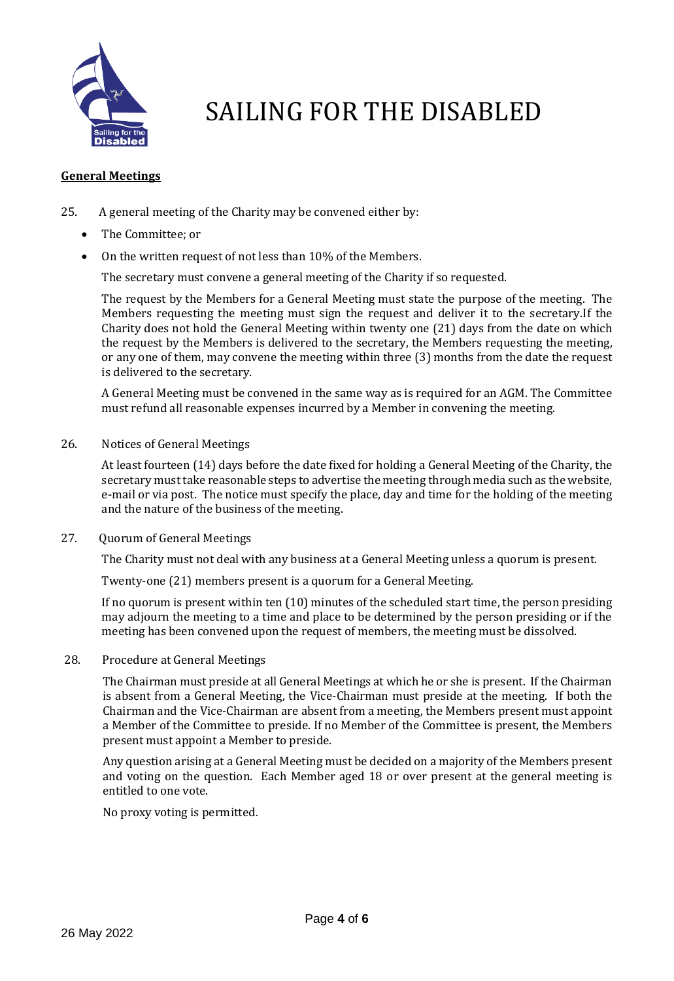

#### **General Meetings**

- 25. A general meeting of the Charity may be convened either by:
	- The Committee; or
	- On the written request of not less than 10% of the Members.

The secretary must convene a general meeting of the Charity if so requested.

The request by the Members for a General Meeting must state the purpose of the meeting. The Members requesting the meeting must sign the request and deliver it to the secretary.If the Charity does not hold the General Meeting within twenty one (21) days from the date on which the request by the Members is delivered to the secretary, the Members requesting the meeting, or any one of them, may convene the meeting within three (3) months from the date the request is delivered to the secretary.

A General Meeting must be convened in the same way as is required for an AGM. The Committee must refund all reasonable expenses incurred by a Member in convening the meeting.

26. Notices of General Meetings

At least fourteen (14) days before the date fixed for holding a General Meeting of the Charity, the secretary must take reasonable steps to advertise the meeting through media such as the website, e-mail or via post. The notice must specify the place, day and time for the holding of the meeting and the nature of the business of the meeting.

27. Quorum of General Meetings

The Charity must not deal with any business at a General Meeting unless a quorum is present.

Twenty-one (21) members present is a quorum for a General Meeting.

If no quorum is present within ten (10) minutes of the scheduled start time, the person presiding may adjourn the meeting to a time and place to be determined by the person presiding or if the meeting has been convened upon the request of members, the meeting must be dissolved.

28. Procedure at General Meetings

The Chairman must preside at all General Meetings at which he or she is present. If the Chairman is absent from a General Meeting, the Vice-Chairman must preside at the meeting. If both the Chairman and the Vice-Chairman are absent from a meeting, the Members present must appoint a Member of the Committee to preside. If no Member of the Committee is present, the Members present must appoint a Member to preside.

Any question arising at a General Meeting must be decided on a majority of the Members present and voting on the question. Each Member aged 18 or over present at the general meeting is entitled to one vote.

No proxy voting is permitted*.*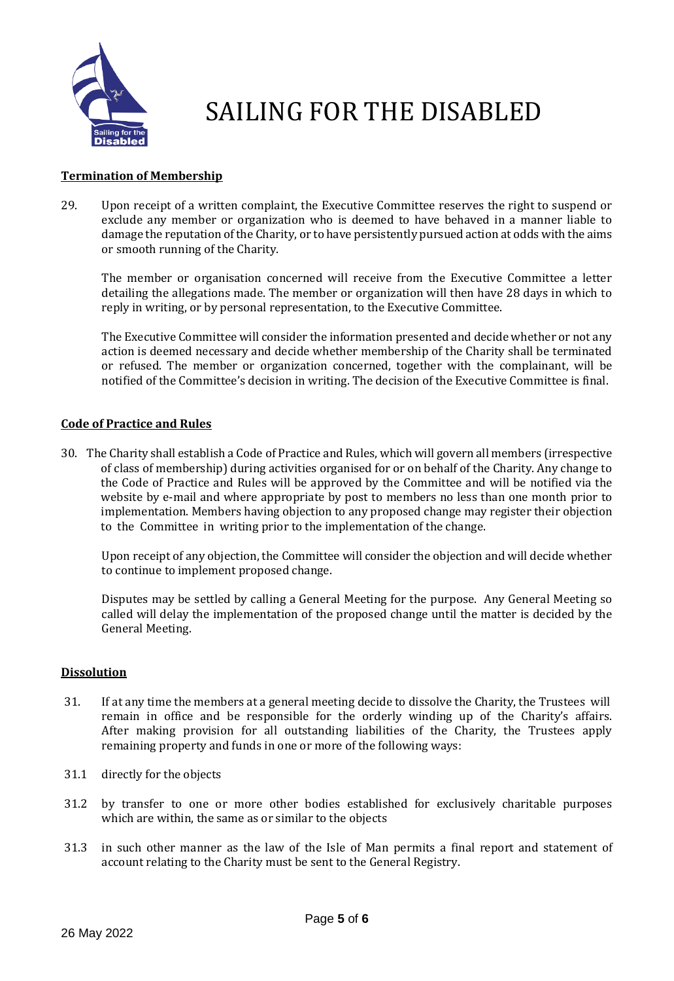

### **Termination of Membership**

29. Upon receipt of a written complaint, the Executive Committee reserves the right to suspend or exclude any member or organization who is deemed to have behaved in a manner liable to damage the reputation of the Charity, or to have persistently pursued action at odds with the aims or smooth running of the Charity.

The member or organisation concerned will receive from the Executive Committee a letter detailing the allegations made. The member or organization will then have 28 days in which to reply in writing, or by personal representation, to the Executive Committee.

The Executive Committee will consider the information presented and decide whether or not any action is deemed necessary and decide whether membership of the Charity shall be terminated or refused. The member or organization concerned, together with the complainant, will be notified of the Committee's decision in writing. The decision of the Executive Committee is final.

### **Code of Practice and Rules**

30. The Charity shall establish a Code of Practice and Rules, which will govern all members (irrespective of class of membership) during activities organised for or on behalf of the Charity. Any change to the Code of Practice and Rules will be approved by the Committee and will be notified via the website by e-mail and where appropriate by post to members no less than one month prior to implementation. Members having objection to any proposed change may register their objection to the Committee in writing prior to the implementation of the change.

Upon receipt of any objection, the Committee will consider the objection and will decide whether to continue to implement proposed change.

Disputes may be settled by calling a General Meeting for the purpose. Any General Meeting so called will delay the implementation of the proposed change until the matter is decided by the General Meeting.

#### **Dissolution**

- 31. If at any time the members at a general meeting decide to dissolve the Charity, the Trustees will remain in office and be responsible for the orderly winding up of the Charity's affairs. After making provision for all outstanding liabilities of the Charity, the Trustees apply remaining property and funds in one or more of the following ways:
- 31.1 directly for the objects
- 31.2 by transfer to one or more other bodies established for exclusively charitable purposes which are within, the same as or similar to the objects
- 31.3 in such other manner as the law of the Isle of Man permits a final report and statement of account relating to the Charity must be sent to the General Registry.